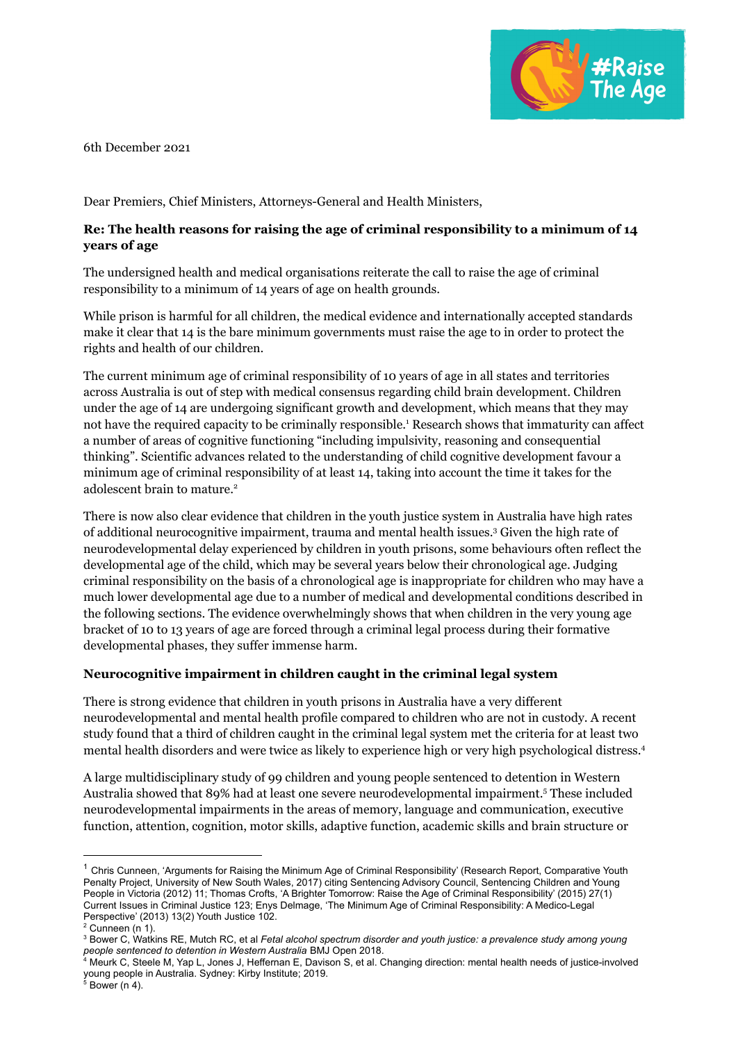

6th December 2021

Dear Premiers, Chief Ministers, Attorneys-General and Health Ministers,

# **Re: The health reasons for raising the age of criminal responsibility to a minimum of 14 years of age**

The undersigned health and medical organisations reiterate the call to raise the age of criminal responsibility to a minimum of 14 years of age on health grounds.

While prison is harmful for all children, the medical evidence and internationally accepted standards make it clear that 14 is the bare minimum governments must raise the age to in order to protect the rights and health of our children.

The current minimum age of criminal responsibility of 10 years of age in all states and territories across Australia is out of step with medical consensus regarding child brain development. Children under the age of 14 are undergoing significant growth and development, which means that they may not have the required capacity to be criminally responsible. <sup>1</sup> Research shows that immaturity can affect a number of areas of cognitive functioning "including impulsivity, reasoning and consequential thinking". Scientific advances related to the understanding of child cognitive development favour a minimum age of criminal responsibility of at least 14, taking into account the time it takes for the adolescent brain to mature. 2

There is now also clear evidence that children in the youth justice system in Australia have high rates of additional neurocognitive impairment, trauma and mental health issues. <sup>3</sup> Given the high rate of neurodevelopmental delay experienced by children in youth prisons, some behaviours often reflect the developmental age of the child, which may be several years below their chronological age. Judging criminal responsibility on the basis of a chronological age is inappropriate for children who may have a much lower developmental age due to a number of medical and developmental conditions described in the following sections. The evidence overwhelmingly shows that when children in the very young age bracket of 10 to 13 years of age are forced through a criminal legal process during their formative developmental phases, they suffer immense harm.

### **Neurocognitive impairment in children caught in the criminal legal system**

There is strong evidence that children in youth prisons in Australia have a very different neurodevelopmental and mental health profile compared to children who are not in custody. A recent study found that a third of children caught in the criminal legal system met the criteria for at least two mental health disorders and were twice as likely to experience high or very high psychological distress. 4

A large multidisciplinary study of 99 children and young people sentenced to detention in Western Australia showed that 89% had at least one severe neurodevelopmental impairment. <sup>5</sup> These included neurodevelopmental impairments in the areas of memory, language and communication, executive function, attention, cognition, motor skills, adaptive function, academic skills and brain structure or

 $1$  Chris Cunneen, 'Arguments for Raising the Minimum Age of Criminal Responsibility' (Research Report, Comparative Youth Penalty Project, University of New South Wales, 2017) citing Sentencing Advisory Council, Sentencing Children and Young People in Victoria (2012) 11; Thomas Crofts, 'A Brighter Tomorrow: Raise the Age of Criminal Responsibility' (2015) 27(1) Current Issues in Criminal Justice 123; Enys Delmage, 'The Minimum Age of Criminal Responsibility: A Medico-Legal Perspective' (2013) 13(2) Youth Justice 102.

 $2$  Cunneen (n 1).

<sup>3</sup> Bower C, Watkins RE, Mutch RC, et al *Fetal alcohol spectrum disorder and youth justice: a prevalence study among young people sentenced to detention in Western Australia* BMJ Open 2018.

<sup>4</sup> Meurk C, Steele M, Yap L, Jones J, Heffernan E, Davison S, et al. Changing direction: mental health needs of justice-involved young people in Australia. Sydney: Kirby Institute; 2019.

 $5$  Bower (n 4).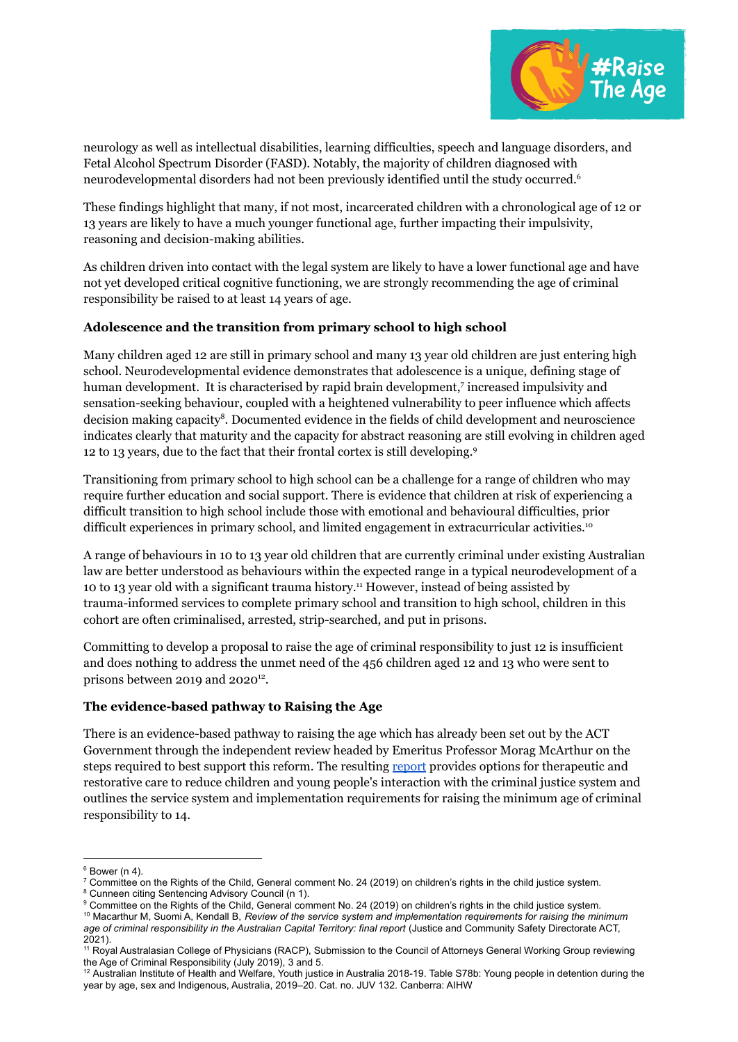

neurology as well as intellectual disabilities, learning difficulties, speech and language disorders, and Fetal Alcohol Spectrum Disorder (FASD). Notably, the majority of children diagnosed with neurodevelopmental disorders had not been previously identified until the study occurred. 6

These findings highlight that many, if not most, incarcerated children with a chronological age of 12 or 13 years are likely to have a much younger functional age, further impacting their impulsivity, reasoning and decision-making abilities.

As children driven into contact with the legal system are likely to have a lower functional age and have not yet developed critical cognitive functioning, we are strongly recommending the age of criminal responsibility be raised to at least 14 years of age.

## **Adolescence and the transition from primary school to high school**

Many children aged 12 are still in primary school and many 13 year old children are just entering high school. Neurodevelopmental evidence demonstrates that adolescence is a unique, defining stage of human development. It is characterised by rapid brain development, 7 increased impulsivity and sensation-seeking behaviour, coupled with a heightened vulnerability to peer influence which affects decision making capacity<sup>8</sup>. Documented evidence in the fields of child development and neuroscience indicates clearly that maturity and the capacity for abstract reasoning are still evolving in children aged 12 to 13 years, due to the fact that their frontal cortex is still developing. 9

Transitioning from primary school to high school can be a challenge for a range of children who may require further education and social support. There is evidence that children at risk of experiencing a difficult transition to high school include those with emotional and behavioural difficulties, prior difficult experiences in primary school, and limited engagement in extracurricular activities.<sup>10</sup>

A range of behaviours in 10 to 13 year old children that are currently criminal under existing Australian law are better understood as behaviours within the expected range in a typical neurodevelopment of a 10 to 13 year old with a significant trauma history. <sup>11</sup> However, instead of being assisted by trauma-informed services to complete primary school and transition to high school, children in this cohort are often criminalised, arrested, strip-searched, and put in prisons.

Committing to develop a proposal to raise the age of criminal responsibility to just 12 is insufficient and does nothing to address the unmet need of the 456 children aged 12 and 13 who were sent to prisons between 2019 and 2020<sup>12</sup>.

### **The evidence-based pathway to Raising the Age**

There is an evidence-based pathway to raising the age which has already been set out by the ACT Government through the independent review headed by Emeritus Professor Morag McArthur on the steps required to best support this reform. The resulting [report](https://justice.act.gov.au/sites/default/files/2021-10/Raising%20the%20Age%20-%20Final%20Report.PDF) provides options for therapeutic and restorative care to reduce children and young people's interaction with the criminal justice system and outlines the service system and implementation requirements for raising the minimum age of criminal responsibility to 14.

<sup>10</sup> Macarthur M, Suomi A, Kendall B, *Review of the service system and implementation requirements for raising the minimum age of criminal responsibility in the Australian Capital Territory: final report* (Justice and Community Safety Directorate ACT, 2021).

 $6$  Bower (n 4).

 $7$  Committee on the Rights of the Child, General comment No. 24 (2019) on children's rights in the child justice system.

<sup>&</sup>lt;sup>8</sup> Cunneen citing Sentencing Advisory Council (n 1).

<sup>&</sup>lt;sup>9</sup> Committee on the Rights of the Child, General comment No. 24 (2019) on children's rights in the child justice system.

<sup>11</sup> Royal Australasian College of Physicians (RACP), Submission to the Council of Attorneys General Working Group reviewing the Age of Criminal Responsibility (July 2019), 3 and 5.

<sup>&</sup>lt;sup>12</sup> Australian Institute of Health and Welfare, Youth justice in Australia 2018-19. Table S78b: Young people in detention during the year by age, sex and Indigenous, Australia, 2019–20. Cat. no. JUV 132. Canberra: AIHW